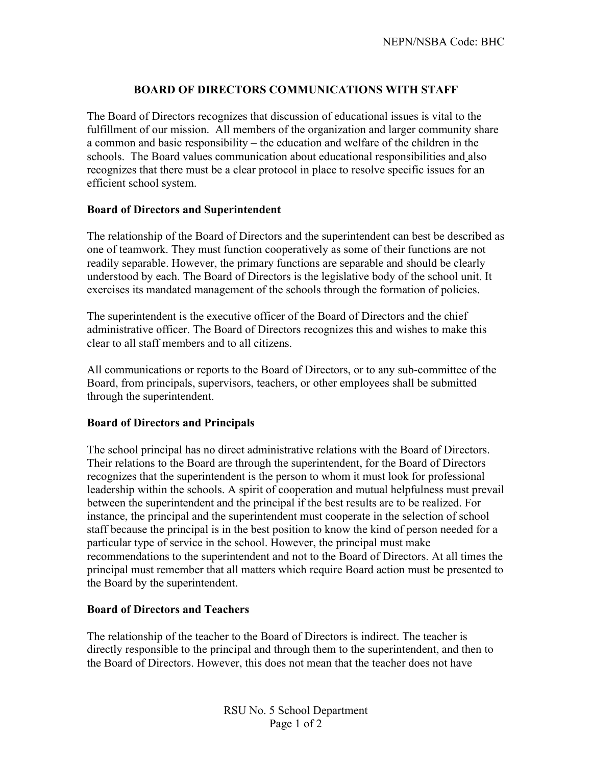## **BOARD OF DIRECTORS COMMUNICATIONS WITH STAFF**

The Board of Directors recognizes that discussion of educational issues is vital to the fulfillment of our mission. All members of the organization and larger community share a common and basic responsibility – the education and welfare of the children in the schools. The Board values communication about educational responsibilities and also recognizes that there must be a clear protocol in place to resolve specific issues for an efficient school system.

## **Board of Directors and Superintendent**

The relationship of the Board of Directors and the superintendent can best be described as one of teamwork. They must function cooperatively as some of their functions are not readily separable. However, the primary functions are separable and should be clearly understood by each. The Board of Directors is the legislative body of the school unit. It exercises its mandated management of the schools through the formation of policies.

The superintendent is the executive officer of the Board of Directors and the chief administrative officer. The Board of Directors recognizes this and wishes to make this clear to all staff members and to all citizens.

All communications or reports to the Board of Directors, or to any sub-committee of the Board, from principals, supervisors, teachers, or other employees shall be submitted through the superintendent.

## **Board of Directors and Principals**

The school principal has no direct administrative relations with the Board of Directors. Their relations to the Board are through the superintendent, for the Board of Directors recognizes that the superintendent is the person to whom it must look for professional leadership within the schools. A spirit of cooperation and mutual helpfulness must prevail between the superintendent and the principal if the best results are to be realized. For instance, the principal and the superintendent must cooperate in the selection of school staff because the principal is in the best position to know the kind of person needed for a particular type of service in the school. However, the principal must make recommendations to the superintendent and not to the Board of Directors. At all times the principal must remember that all matters which require Board action must be presented to the Board by the superintendent.

## **Board of Directors and Teachers**

The relationship of the teacher to the Board of Directors is indirect. The teacher is directly responsible to the principal and through them to the superintendent, and then to the Board of Directors. However, this does not mean that the teacher does not have